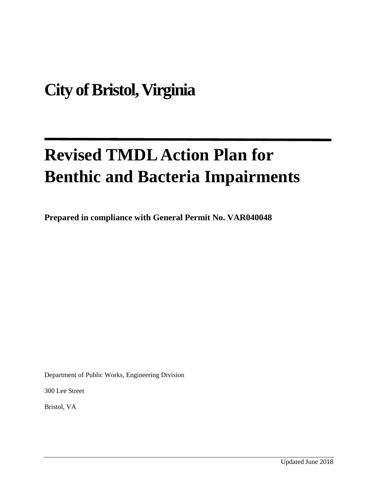# **City of Bristol, Virginia**

# **Revised TMDL Action Plan for Benthic and Bacteria Impairments**

**Prepared in compliance with General Permit No. VAR040048**

Department of Public Works, Engineering Division

300 Lee Street

Bristol, VA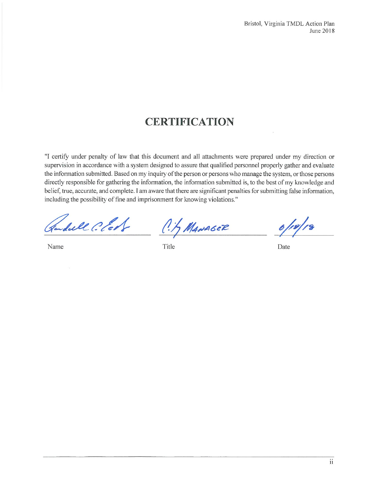## **CERTIFICATION**

"I certify under penalty of law that this document and all attachments were prepared under my direction or supervision in accordance with a system designed to assure that qualified personnel properly gather and evaluate the information submitted. Based on my inquiry of the person or persons who manage the system, or those persons directly responsible for gathering the information, the information submitted is, to the best of my knowledge and belief, true, accurate, and complete. I am aware that there are significant penalties for submitting false information, including the possibility of fine and imprisonment for knowing violations."

Sull Clot

Name

C. 1, MANAGER

Title

 $6/18/18$ 

Date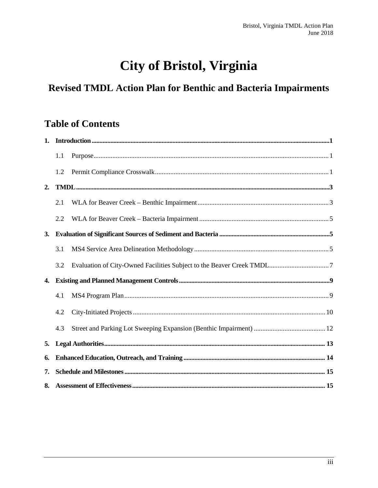## City of Bristol, Virginia

## Revised TMDL Action Plan for Benthic and Bacteria Impairments

## **Table of Contents**

|    | 1.1 |                                                                                                                                                                                                                                                                                                                                                                                                                                                                                                                                                              |  |  |
|----|-----|--------------------------------------------------------------------------------------------------------------------------------------------------------------------------------------------------------------------------------------------------------------------------------------------------------------------------------------------------------------------------------------------------------------------------------------------------------------------------------------------------------------------------------------------------------------|--|--|
|    | 1.2 |                                                                                                                                                                                                                                                                                                                                                                                                                                                                                                                                                              |  |  |
| 2. |     | $\textcolor{red}{\textbf{TMDL}\textcolor{red}{\textbf{}}\textcolor{blue}{\textbf{}}\textcolor{blue}{\textbf{}}\textcolor{blue}{\textbf{}}\textcolor{blue}{\textbf{}}\textcolor{blue}{\textbf{}}\textcolor{blue}{\textbf{}}\textcolor{blue}{\textbf{http}}\textcolor{blue}{\textbf{http}}\textcolor{blue}{\textbf{http}}\textcolor{blue}{\textbf{http}}\textcolor{blue}{\textbf{http}}\textcolor{blue}{\textbf{http}}\textcolor{blue}{\textbf{http}}\textcolor{blue}{\textbf{http}}\textcolor{blue}{\textbf{http}}\textcolor{blue}{\textbf{http}}\textcolor{$ |  |  |
|    | 2.1 |                                                                                                                                                                                                                                                                                                                                                                                                                                                                                                                                                              |  |  |
|    | 2.2 |                                                                                                                                                                                                                                                                                                                                                                                                                                                                                                                                                              |  |  |
| 3. |     |                                                                                                                                                                                                                                                                                                                                                                                                                                                                                                                                                              |  |  |
|    | 3.1 |                                                                                                                                                                                                                                                                                                                                                                                                                                                                                                                                                              |  |  |
|    | 3.2 |                                                                                                                                                                                                                                                                                                                                                                                                                                                                                                                                                              |  |  |
| 4. |     |                                                                                                                                                                                                                                                                                                                                                                                                                                                                                                                                                              |  |  |
|    | 4.1 |                                                                                                                                                                                                                                                                                                                                                                                                                                                                                                                                                              |  |  |
|    | 4.2 |                                                                                                                                                                                                                                                                                                                                                                                                                                                                                                                                                              |  |  |
|    | 4.3 |                                                                                                                                                                                                                                                                                                                                                                                                                                                                                                                                                              |  |  |
| 5. |     |                                                                                                                                                                                                                                                                                                                                                                                                                                                                                                                                                              |  |  |
| 6. |     |                                                                                                                                                                                                                                                                                                                                                                                                                                                                                                                                                              |  |  |
| 7. |     |                                                                                                                                                                                                                                                                                                                                                                                                                                                                                                                                                              |  |  |
|    |     |                                                                                                                                                                                                                                                                                                                                                                                                                                                                                                                                                              |  |  |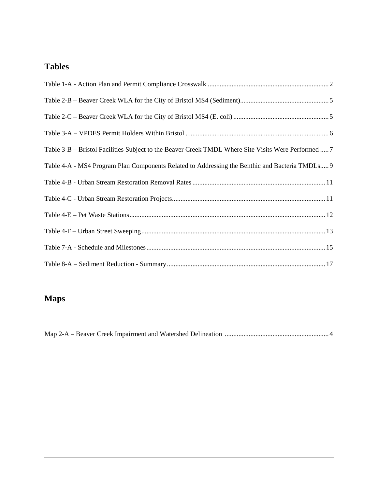## **Tables**

| Table 3-B – Bristol Facilities Subject to the Beaver Creek TMDL Where Site Visits Were Performed  7 |
|-----------------------------------------------------------------------------------------------------|
| Table 4-A - MS4 Program Plan Components Related to Addressing the Benthic and Bacteria TMDLs 9      |
|                                                                                                     |
|                                                                                                     |
|                                                                                                     |
|                                                                                                     |
|                                                                                                     |
|                                                                                                     |

## **Maps**

|--|--|--|--|--|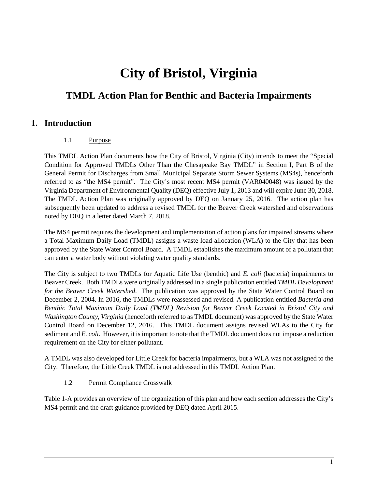## **City of Bristol, Virginia**

### **TMDL Action Plan for Benthic and Bacteria Impairments**

#### <span id="page-4-0"></span>**1. Introduction**

#### 1.1 Purpose

<span id="page-4-1"></span>This TMDL Action Plan documents how the City of Bristol, Virginia (City) intends to meet the "Special Condition for Approved TMDLs Other Than the Chesapeake Bay TMDL" in Section I, Part B of the General Permit for Discharges from Small Municipal Separate Storm Sewer Systems (MS4s), henceforth referred to as "the MS4 permit". The City's most recent MS4 permit (VAR040048) was issued by the Virginia Department of Environmental Quality (DEQ) effective July 1, 2013 and will expire June 30, 2018. The TMDL Action Plan was originally approved by DEQ on January 25, 2016. The action plan has subsequently been updated to address a revised TMDL for the Beaver Creek watershed and observations noted by DEQ in a letter dated March 7, 2018.

The MS4 permit requires the development and implementation of action plans for impaired streams where a Total Maximum Daily Load (TMDL) assigns a waste load allocation (WLA) to the City that has been approved by the State Water Control Board. A TMDL establishes the maximum amount of a pollutant that can enter a water body without violating water quality standards.

The City is subject to two TMDLs for Aquatic Life Use (benthic) and *E. coli* (bacteria) impairments to Beaver Creek. Both TMDLs were originally addressed in a single publication entitled *TMDL Development for the Beaver Creek Watershed*. The publication was approved by the State Water Control Board on December 2, 2004. In 2016, the TMDLs were reassessed and revised. A publication entitled *Bacteria and Benthic Total Maximum Daily Load (TMDL) Revision for Beaver Creek Located in Bristol City and Washington County, Virginia* (henceforth referred to as TMDL document) was approved by the State Water Control Board on December 12, 2016. This TMDL document assigns revised WLAs to the City for sediment and *E. coli.* However, it is important to note that the TMDL document does not impose a reduction requirement on the City for either pollutant.

A TMDL was also developed for Little Creek for bacteria impairments, but a WLA was not assigned to the City. Therefore, the Little Creek TMDL is not addressed in this TMDL Action Plan.

#### 1.2 Permit Compliance Crosswalk

<span id="page-4-2"></span>Table 1-A provides an overview of the organization of this plan and how each section addresses the City's MS4 permit and the draft guidance provided by DEQ dated April 2015.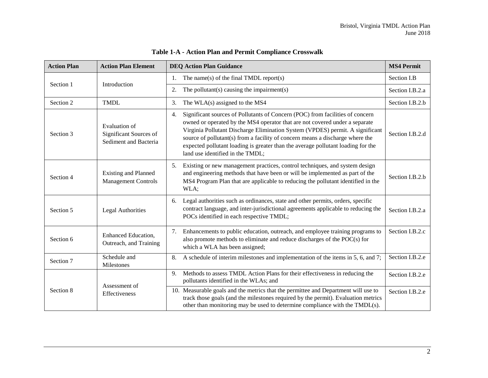<span id="page-5-0"></span>

| <b>Action Plan</b><br><b>Action Plan Element</b>                              |                                | <b>DEQ Action Plan Guidance</b>                                                                                                                                                                                                                                                                                                                                                                                                                              | <b>MS4 Permit</b> |
|-------------------------------------------------------------------------------|--------------------------------|--------------------------------------------------------------------------------------------------------------------------------------------------------------------------------------------------------------------------------------------------------------------------------------------------------------------------------------------------------------------------------------------------------------------------------------------------------------|-------------------|
|                                                                               |                                | The name(s) of the final TMDL report(s)<br>$1_{\cdot}$                                                                                                                                                                                                                                                                                                                                                                                                       | Section I.B       |
| Section 1                                                                     | Introduction                   | The pollutant(s) causing the impairment(s)<br>2.                                                                                                                                                                                                                                                                                                                                                                                                             | Section I.B.2.a   |
| Section 2                                                                     | <b>TMDL</b>                    | The WLA(s) assigned to the MS4<br>3.                                                                                                                                                                                                                                                                                                                                                                                                                         | Section I.B.2.b   |
| Evaluation of<br>Significant Sources of<br>Section 3<br>Sediment and Bacteria |                                | Significant sources of Pollutants of Concern (POC) from facilities of concern<br>4.<br>owned or operated by the MS4 operator that are not covered under a separate<br>Virginia Pollutant Discharge Elimination System (VPDES) permit. A significant<br>source of pollutant(s) from a facility of concern means a discharge where the<br>expected pollutant loading is greater than the average pollutant loading for the<br>land use identified in the TMDL; | Section I.B.2.d   |
| <b>Existing and Planned</b><br>Section 4<br><b>Management Controls</b>        |                                | 5.<br>Existing or new management practices, control techniques, and system design<br>and engineering methods that have been or will be implemented as part of the<br>MS4 Program Plan that are applicable to reducing the pollutant identified in the<br>WLA;                                                                                                                                                                                                | Section I.B.2.b   |
| Section 5<br><b>Legal Authorities</b>                                         |                                | Legal authorities such as ordinances, state and other permits, orders, specific<br>6.<br>contract language, and inter-jurisdictional agreements applicable to reducing the<br>POCs identified in each respective TMDL;                                                                                                                                                                                                                                       | Section I.B.2.a   |
| <b>Enhanced Education,</b><br>Section 6<br>Outreach, and Training             |                                | Enhancements to public education, outreach, and employee training programs to<br>7.<br>also promote methods to eliminate and reduce discharges of the POC(s) for<br>which a WLA has been assigned;                                                                                                                                                                                                                                                           | Section I.B.2.c   |
| Schedule and<br>Section 7<br>Milestones                                       |                                | 8.<br>A schedule of interim milestones and implementation of the items in 5, 6, and 7;                                                                                                                                                                                                                                                                                                                                                                       | Section I.B.2.e   |
|                                                                               | Assessment of<br>Effectiveness | Methods to assess TMDL Action Plans for their effectiveness in reducing the<br>9.<br>pollutants identified in the WLAs; and                                                                                                                                                                                                                                                                                                                                  | Section I.B.2.e   |
| Section 8                                                                     |                                | 10. Measurable goals and the metrics that the permittee and Department will use to<br>track those goals (and the milestones required by the permit). Evaluation metrics<br>other than monitoring may be used to determine compliance with the TMDL(s).                                                                                                                                                                                                       | Section I.B.2.e   |

#### **Table 1-A - Action Plan and Permit Compliance Crosswalk**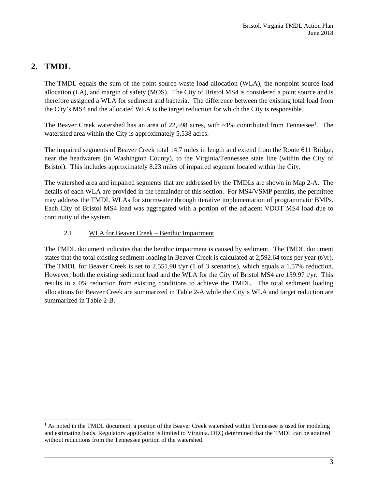#### <span id="page-6-0"></span>**2. TMDL**

 $\overline{\phantom{a}}$ 

The TMDL equals the sum of the point source waste load allocation (WLA), the nonpoint source load allocation (LA), and margin of safety (MOS). The City of Bristol MS4 is considered a point source and is therefore assigned a WLA for sediment and bacteria. The difference between the existing total load from the City's MS4 and the allocated WLA is the target reduction for which the City is responsible.

The Beaver Creek watershed has an area of 22,598 acres, with  $\sim$ [1](#page-6-2)% contributed from Tennessee<sup>1</sup>. The watershed area within the City is approximately 5,538 acres.

The impaired segments of Beaver Creek total 14.7 miles in length and extend from the Route 611 Bridge, near the headwaters (in Washington County), to the Virginia/Tennessee state line (within the City of Bristol). This includes approximately 8.23 miles of impaired segment located within the City.

The watershed area and impaired segments that are addressed by the TMDLs are shown in Map 2-A. The details of each WLA are provided in the remainder of this section. For MS4/VSMP permits, the permittee may address the TMDL WLAs for stormwater through iterative implementation of programmatic BMPs. Each City of Bristol MS4 load was aggregated with a portion of the adjacent VDOT MS4 load due to continuity of the system.

#### 2.1 WLA for Beaver Creek – Benthic Impairment

<span id="page-6-1"></span>The TMDL document indicates that the benthic impairment is caused by sediment. The TMDL document states that the total existing sediment loading in Beaver Creek is calculated at 2,592.64 tons per year (t/yr). The TMDL for Beaver Creek is set to 2,551.90 t/yr (1 of 3 scenarios), which equals a 1.57% reduction. However, both the existing sediment load and the WLA for the City of Bristol MS4 are 159.97 t/yr. This results in a 0% reduction from existing conditions to achieve the TMDL. The total sediment loading allocations for Beaver Creek are summarized in Table 2-A while the City's WLA and target reduction are summarized in Table 2-B.

<span id="page-6-2"></span> $<sup>1</sup>$  As noted in the TMDL document, a portion of the Beaver Creek watershed within Tennessee is used for modeling</sup> and estimating loads. Regulatory application is limited to Virginia. DEQ determined that the TMDL can be attained without reductions from the Tennessee portion of the watershed.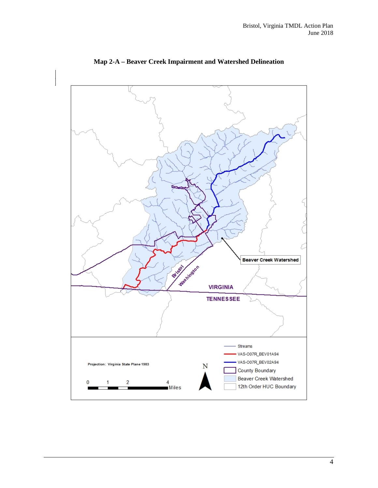

**Map 2-A – Beaver Creek Impairment and Watershed Delineation**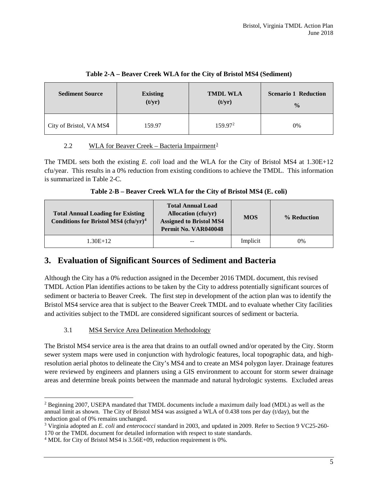<span id="page-8-3"></span>

| <b>Sediment Source</b>  | <b>Existing</b> | <b>TMDL WLA</b>     | <b>Scenario 1 Reduction</b> |
|-------------------------|-----------------|---------------------|-----------------------------|
|                         | (t/yr)          | (t/yr)              | $\frac{0}{0}$               |
| City of Bristol, VA MS4 | 159.97          | 159.97 <sup>2</sup> | 0%                          |

#### **Table 2-A – Beaver Creek WLA for the City of Bristol MS4 (Sediment)**

#### <span id="page-8-0"></span>2.2 WLA for Beaver Creek – Bacteria Impairment<sup>[3](#page-8-6)</sup>

The TMDL sets both the existing *E. coli* load and the WLA for the City of Bristol MS4 at 1.30E+12 cfu/year. This results in a 0% reduction from existing conditions to achieve the TMDL. This information is summarized in Table 2-C.

| Table 2-B – Beaver Creek WLA for the City of Bristol MS4 (E. coli) |  |  |  |
|--------------------------------------------------------------------|--|--|--|
|                                                                    |  |  |  |

<span id="page-8-4"></span>

| <b>Total Annual Loading for Existing</b><br>Conditions for Bristol MS4 $(cfu/yr)^4$ | <b>Total Annual Load</b><br><b>Allocation</b> (cfu/yr)<br><b>Assigned to Bristol MS4</b><br>Permit No. VAR040048 | <b>MOS</b> | % Reduction |
|-------------------------------------------------------------------------------------|------------------------------------------------------------------------------------------------------------------|------------|-------------|
| 1.30E+12                                                                            | --                                                                                                               | Implicit   | 0%          |

#### <span id="page-8-1"></span>**3. Evaluation of Significant Sources of Sediment and Bacteria**

Although the City has a 0% reduction assigned in the December 2016 TMDL document, this revised TMDL Action Plan identifies actions to be taken by the City to address potentially significant sources of sediment or bacteria to Beaver Creek. The first step in development of the action plan was to identify the Bristol MS4 service area that is subject to the Beaver Creek TMDL and to evaluate whether City facilities and activities subject to the TMDL are considered significant sources of sediment or bacteria.

#### 3.1 MS4 Service Area Delineation Methodology

<span id="page-8-2"></span>The Bristol MS4 service area is the area that drains to an outfall owned and/or operated by the City. Storm sewer system maps were used in conjunction with hydrologic features, local topographic data, and highresolution aerial photos to delineate the City's MS4 and to create an MS4 polygon layer. Drainage features were reviewed by engineers and planners using a GIS environment to account for storm sewer drainage areas and determine break points between the manmade and natural hydrologic systems. Excluded areas

 $\overline{\phantom{a}}$ 

<span id="page-8-5"></span><sup>2</sup> Beginning 2007, USEPA mandated that TMDL documents include a maximum daily load (MDL) as well as the annual limit as shown. The City of Bristol MS4 was assigned a WLA of 0.438 tons per day (t/day), but the reduction goal of 0% remains unchanged.

<span id="page-8-6"></span><sup>3</sup> Virginia adopted an *E. coli* and *enterococci* standard in 2003, and updated in 2009. Refer to Section 9 VC25-260- 170 or the TMDL document for detailed information with respect to state standards.

<span id="page-8-7"></span><sup>4</sup> MDL for City of Bristol MS4 is 3.56E+09, reduction requirement is 0%.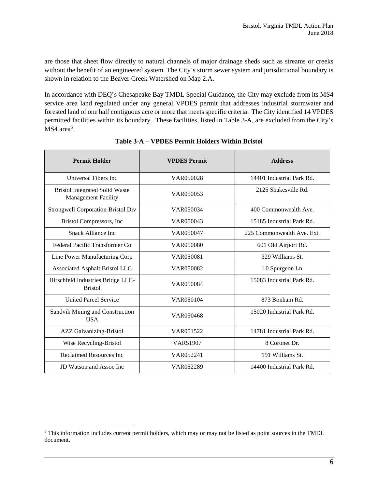are those that sheet flow directly to natural channels of major drainage sheds such as streams or creeks without the benefit of an engineered system. The City's storm sewer system and jurisdictional boundary is shown in relation to the Beaver Creek Watershed on Map 2.A.

In accordance with DEQ's Chesapeake Bay TMDL Special Guidance, the City may exclude from its MS4 service area land regulated under any general VPDES permit that addresses industrial stormwater and forested land of one half contiguous acre or more that meets specific criteria. The City identified 14 VPDES permitted facilities within its boundary. These facilities, listed in Table 3-A, are excluded from the City's  $MS4$  area<sup>[5](#page-9-1)</sup>.

<span id="page-9-0"></span>

| <b>Permit Holder</b>                                                | <b>VPDES Permit</b> | <b>Address</b>             |
|---------------------------------------------------------------------|---------------------|----------------------------|
| Universal Fibers Inc                                                | VAR050028           | 14401 Industrial Park Rd.  |
| <b>Bristol Integrated Solid Waste</b><br><b>Management Facility</b> | VAR050053           | 2125 Shakesville Rd.       |
| Strongwell Corporation-Bristol Div                                  | VAR050034           | 400 Commonwealth Ave.      |
| Bristol Compressors, Inc.                                           | VAR050043           | 15185 Industrial Park Rd.  |
| Snack Alliance Inc.                                                 | VAR050047           | 225 Commonwealth Ave. Ext. |
| Federal Pacific Transformer Co                                      | VAR050080           | 601 Old Airport Rd.        |
| Line Power Manufacturing Corp                                       | VAR050081           | 329 Williams St.           |
| Associated Asphalt Bristol LLC                                      | VAR050082           | 10 Spurgeon Ln             |
| Hirschfeld Industries Bridge LLC-<br><b>Bristol</b>                 | VAR050084           | 15083 Industrial Park Rd.  |
| <b>United Parcel Service</b>                                        | VAR050104           | 873 Bonham Rd.             |
| Sandvik Mining and Construction<br><b>USA</b>                       | VAR050468           | 15020 Industrial Park Rd.  |
| <b>AZZ</b> Galvanizing-Bristol                                      | VAR051522           | 14781 Industrial Park Rd.  |
| Wise Recycling-Bristol                                              | VAR51907            | 8 Coronet Dr.              |
| Reclaimed Resources Inc.                                            | VAR052241           | 191 Williams St.           |
| <b>ID Watson and Assoc Inc.</b>                                     | VAR052289           | 14400 Industrial Park Rd.  |

#### **Table 3-A – VPDES Permit Holders Within Bristol**

l

<span id="page-9-1"></span> $<sup>5</sup>$  This information includes current permit holders, which may or may not be listed as point sources in the TMDL</sup> document.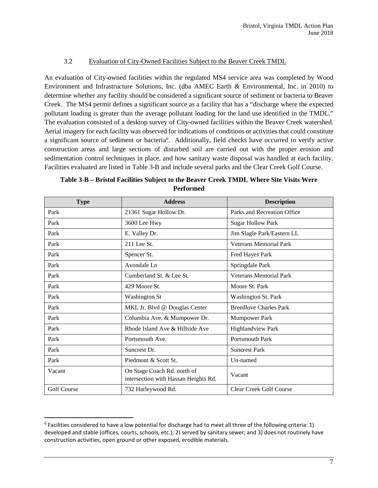#### 3.2 Evaluation of City-Owned Facilities Subject to the Beaver Creek TMDL

<span id="page-10-0"></span>An evaluation of City-owned facilities within the regulated MS4 service area was completed by Wood Environment and Infrastructure Solutions, Inc. (dba AMEC Earth & Environmental, Inc. in 2010) to determine whether any facility should be considered a significant source of sediment or bacteria to Beaver Creek. The MS4 permit defines a significant source as a facility that has a "discharge where the expected pollutant loading is greater than the average pollutant loading for the land use identified in the TMDL." The evaluation consisted of a desktop survey of City-owned facilities within the Beaver Creek watershed. Aerial imagery for each facility was observed for indications of conditions or activities that could constitute a significant source of sediment or bacteria<sup>[6](#page-10-2)</sup>. Additionally, field checks have occurred to verify active construction areas and large sections of disturbed soil are carried out with the proper erosion and sedimentation control techniques in place, and how sanitary waste disposal was handled at each facility. Facilities evaluated are listed in Table 3-B and include several parks and the Clear Creek Golf Course.

| <b>Type</b>        | <b>Address</b>                                                      | <b>Description</b>             |
|--------------------|---------------------------------------------------------------------|--------------------------------|
| Park               | 21361 Sugar Hollow Dr.                                              | Parks and Recreation Office    |
| Park               | 3600 Lee Hwy                                                        | <b>Sugar Hollow Park</b>       |
| Park               | E. Valley Dr.                                                       | Jim Slagle Park/Eastern LL     |
| Park               | $211$ Lee St.                                                       | <b>Veterans Memorial Park</b>  |
| Park               | Spencer St.                                                         | Fred Hayes Park                |
| Park               | Avondale Ln                                                         | Springdale Park                |
| Park               | Cumberland St. & Lee St.                                            | <b>Veterans Memorial Park</b>  |
| Park               | 429 Moore St.                                                       | Moore St. Park                 |
| Park               | <b>Washington St</b>                                                | Washington St. Park            |
| Park               | MKL Jr. Blvd @ Douglas Center                                       | <b>Breedlove Charles Park</b>  |
| Park               | Columbia Ave. & Mumpower Dr.                                        | <b>Mumpower Park</b>           |
| Park               | Rhode Island Ave & Hillside Ave                                     | <b>Highlandview Park</b>       |
| Park               | Portsmouth Ave.                                                     | <b>Portsmouth Park</b>         |
| Park               | Suncrest Dr.                                                        | <b>Suncrest Park</b>           |
| Park               | Piedmont & Scott St.                                                | Un-named                       |
| Vacant             | On Stage Coach Rd. north of<br>intersection with Hassan Heights Rd. | Vacant                         |
| <b>Golf Course</b> | 732 Harleywood Rd.                                                  | <b>Clear Creek Golf Course</b> |

<span id="page-10-1"></span>**Table 3-B – Bristol Facilities Subject to the Beaver Creek TMDL Where Site Visits Were Performed**

<span id="page-10-2"></span> $6$  Facilities considered to have a low potential for discharge had to meet all three of the following criteria: 1) developed and stable (offices, courts, schools, etc.); 2) served by sanitary sewer; and 3) does not routinely have construction activities, open ground or other exposed, erodible materials.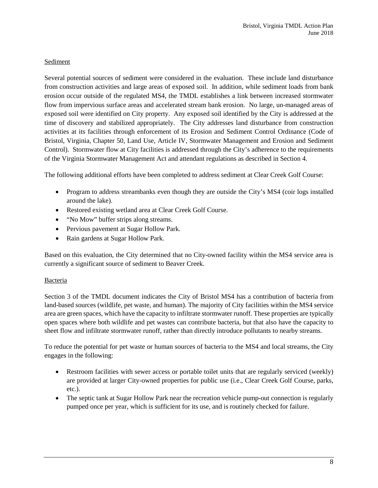#### Sediment

Several potential sources of sediment were considered in the evaluation. These include land disturbance from construction activities and large areas of exposed soil. In addition, while sediment loads from bank erosion occur outside of the regulated MS4, the TMDL establishes a link between increased stormwater flow from impervious surface areas and accelerated stream bank erosion. No large, un-managed areas of exposed soil were identified on City property. Any exposed soil identified by the City is addressed at the time of discovery and stabilized appropriately. The City addresses land disturbance from construction activities at its facilities through enforcement of its Erosion and Sediment Control Ordinance (Code of Bristol, Virginia, Chapter 50, Land Use, Article IV, Stormwater Management and Erosion and Sediment Control). Stormwater flow at City facilities is addressed through the City's adherence to the requirements of the Virginia Stormwater Management Act and attendant regulations as described in Section 4.

The following additional efforts have been completed to address sediment at Clear Creek Golf Course:

- Program to address streambanks even though they are outside the City's MS4 (coir logs installed around the lake).
- Restored existing wetland area at Clear Creek Golf Course.
- "No Mow" buffer strips along streams.
- Pervious pavement at Sugar Hollow Park.
- Rain gardens at Sugar Hollow Park.

Based on this evaluation, the City determined that no City-owned facility within the MS4 service area is currently a significant source of sediment to Beaver Creek.

#### Bacteria

Section 3 of the TMDL document indicates the City of Bristol MS4 has a contribution of bacteria from land-based sources (wildlife, pet waste, and human). The majority of City facilities within the MS4 service area are green spaces, which have the capacity to infiltrate stormwater runoff. These properties are typically open spaces where both wildlife and pet wastes can contribute bacteria, but that also have the capacity to sheet flow and infiltrate stormwater runoff, rather than directly introduce pollutants to nearby streams.

To reduce the potential for pet waste or human sources of bacteria to the MS4 and local streams, the City engages in the following:

- Restroom facilities with sewer access or portable toilet units that are regularly serviced (weekly) are provided at larger City-owned properties for public use (i.e., Clear Creek Golf Course, parks, etc.).
- The septic tank at Sugar Hollow Park near the recreation vehicle pump-out connection is regularly pumped once per year, which is sufficient for its use, and is routinely checked for failure.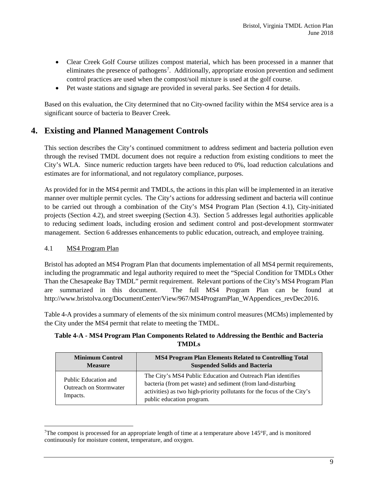- Clear Creek Golf Course utilizes compost material, which has been processed in a manner that eliminates the presence of pathogens<sup>[7](#page-12-3)</sup>. Additionally, appropriate erosion prevention and sediment control practices are used when the compost/soil mixture is used at the golf course.
- Pet waste stations and signage are provided in several parks. See Section 4 for details.

Based on this evaluation, the City determined that no City-owned facility within the MS4 service area is a significant source of bacteria to Beaver Creek.

#### <span id="page-12-0"></span>**4. Existing and Planned Management Controls**

This section describes the City's continued commitment to address sediment and bacteria pollution even through the revised TMDL document does not require a reduction from existing conditions to meet the City's WLA. Since numeric reduction targets have been reduced to 0%, load reduction calculations and estimates are for informational, and not regulatory compliance, purposes.

As provided for in the MS4 permit and TMDLs, the actions in this plan will be implemented in an iterative manner over multiple permit cycles. The City's actions for addressing sediment and bacteria will continue to be carried out through a combination of the City's MS4 Program Plan (Section 4.1), City-initiated projects (Section 4.2), and street sweeping (Section 4.3). Section 5 addresses legal authorities applicable to reducing sediment loads, including erosion and sediment control and post-development stormwater management. Section 6 addresses enhancements to public education, outreach, and employee training.

#### <span id="page-12-1"></span>4.1 MS4 Program Plan

l

Bristol has adopted an MS4 Program Plan that documents implementation of all MS4 permit requirements, including the programmatic and legal authority required to meet the "Special Condition for TMDLs Other Than the Chesapeake Bay TMDL" permit requirement. Relevant portions of the City's MS4 Program Plan are summarized in this document. The full MS4 Program Plan can be found at http://www.bristolva.org/DocumentCenter/View/967/MS4ProgramPlan\_WAppendices\_revDec2016.

Table 4-A provides a summary of elements of the six minimum control measures (MCMs) implemented by the City under the MS4 permit that relate to meeting the TMDL.

<span id="page-12-2"></span>**Table 4-A - MS4 Program Plan Components Related to Addressing the Benthic and Bacteria TMDLs**

| <b>Minimum Control</b>                                            | <b>MS4 Program Plan Elements Related to Controlling Total</b>                                                                                                                                                                        |
|-------------------------------------------------------------------|--------------------------------------------------------------------------------------------------------------------------------------------------------------------------------------------------------------------------------------|
| <b>Measure</b>                                                    | <b>Suspended Solids and Bacteria</b>                                                                                                                                                                                                 |
| Public Education and<br><b>Outreach on Stormwater</b><br>Impacts. | The City's MS4 Public Education and Outreach Plan identifies<br>bacteria (from pet waste) and sediment (from land-disturbing<br>activities) as two high-priority pollutants for the focus of the City's<br>public education program. |

<span id="page-12-3"></span><sup>7</sup> The compost is processed for an appropriate length of time at a temperature above 145°F, and is monitored continuously for moisture content, temperature, and oxygen.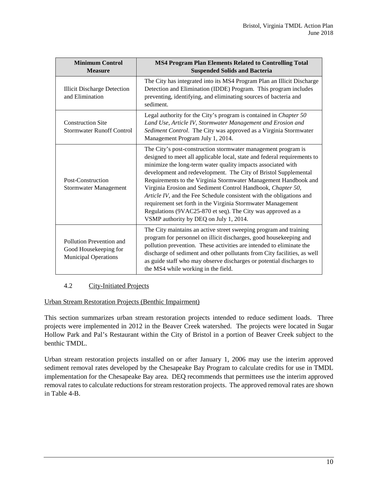| <b>Minimum Control</b><br><b>Measure</b>                                         | <b>MS4 Program Plan Elements Related to Controlling Total</b><br><b>Suspended Solids and Bacteria</b>                                                                                                                                                                                                                                                                                                                                                                                                                                                                                                                                                          |  |  |
|----------------------------------------------------------------------------------|----------------------------------------------------------------------------------------------------------------------------------------------------------------------------------------------------------------------------------------------------------------------------------------------------------------------------------------------------------------------------------------------------------------------------------------------------------------------------------------------------------------------------------------------------------------------------------------------------------------------------------------------------------------|--|--|
| <b>Illicit Discharge Detection</b><br>and Elimination                            | The City has integrated into its MS4 Program Plan an Illicit Discharge<br>Detection and Elimination (IDDE) Program. This program includes<br>preventing, identifying, and eliminating sources of bacteria and<br>sediment.                                                                                                                                                                                                                                                                                                                                                                                                                                     |  |  |
| <b>Construction Site</b><br><b>Stormwater Runoff Control</b>                     | Legal authority for the City's program is contained in <i>Chapter</i> 50<br>Land Use, Article IV, Stormwater Management and Erosion and<br>Sediment Control. The City was approved as a Virginia Stormwater<br>Management Program July 1, 2014.                                                                                                                                                                                                                                                                                                                                                                                                                |  |  |
| Post-Construction<br><b>Stormwater Management</b>                                | The City's post-construction stormwater management program is<br>designed to meet all applicable local, state and federal requirements to<br>minimize the long-term water quality impacts associated with<br>development and redevelopment. The City of Bristol Supplemental<br>Requirements to the Virginia Stormwater Management Handbook and<br>Virginia Erosion and Sediment Control Handbook, Chapter 50,<br>Article IV, and the Fee Schedule consistent with the obligations and<br>requirement set forth in the Virginia Stormwater Management<br>Regulations (9VAC25-870 et seq). The City was approved as a<br>VSMP authority by DEQ on July 1, 2014. |  |  |
| Pollution Prevention and<br>Good Housekeeping for<br><b>Municipal Operations</b> | The City maintains an active street sweeping program and training<br>program for personnel on illicit discharges, good housekeeping and<br>pollution prevention. These activities are intended to eliminate the<br>discharge of sediment and other pollutants from City facilities, as well<br>as guide staff who may observe discharges or potential discharges to<br>the MS4 while working in the field.                                                                                                                                                                                                                                                     |  |  |

#### <span id="page-13-0"></span>4.2 City-Initiated Projects

Urban Stream Restoration Projects (Benthic Impairment)

This section summarizes urban stream restoration projects intended to reduce sediment loads. Three projects were implemented in 2012 in the Beaver Creek watershed. The projects were located in Sugar Hollow Park and Pal's Restaurant within the City of Bristol in a portion of Beaver Creek subject to the benthic TMDL.

Urban stream restoration projects installed on or after January 1, 2006 may use the interim approved sediment removal rates developed by the Chesapeake Bay Program to calculate credits for use in TMDL implementation for the Chesapeake Bay area. DEQ recommends that permittees use the interim approved removal rates to calculate reductions for stream restoration projects. The approved removal rates are shown in Table 4-B.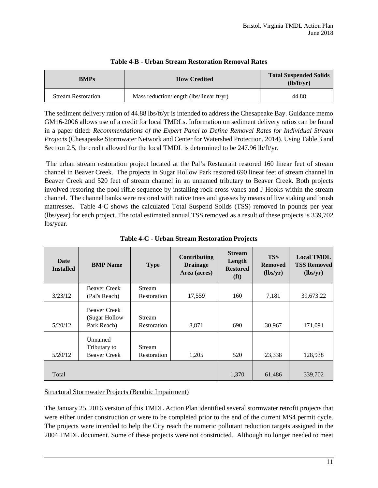<span id="page-14-0"></span>

| <b>BMPs</b>               | <b>How Credited</b>                      | <b>Total Suspended Solids</b><br>(lb/ft/vr) |
|---------------------------|------------------------------------------|---------------------------------------------|
| <b>Stream Restoration</b> | Mass reduction/length (lbs/linear ft/yr) | 44.88                                       |

#### **Table 4-B - Urban Stream Restoration Removal Rates**

The sediment delivery ration of 44.88 lbs/ft/yr is intended to address the Chesapeake Bay. Guidance memo GM16-2006 allows use of a credit for local TMDLs. Information on sediment delivery ratios can be found in a paper titled: *Recommendations of the Expert Panel to Define Removal Rates for Individual Stream Projects* (Chesapeake Stormwater Network and Center for Watershed Protection, 2014). Using Table 3 and Section 2.5, the credit allowed for the local TMDL is determined to be 247.96 lb/ft/yr.

The urban stream restoration project located at the Pal's Restaurant restored 160 linear feet of stream channel in Beaver Creek. The projects in Sugar Hollow Park restored 690 linear feet of stream channel in Beaver Creek and 520 feet of stream channel in an unnamed tributary to Beaver Creek. Both projects involved restoring the pool riffle sequence by installing rock cross vanes and J-Hooks within the stream channel. The channel banks were restored with native trees and grasses by means of live staking and brush mattresses. Table 4-C shows the calculated Total Suspend Solids (TSS) removed in pounds per year (lbs/year) for each project. The total estimated annual TSS removed as a result of these projects is 339,702 lbs/year.

<span id="page-14-1"></span>

| Date<br><b>Installed</b> | <b>BMP</b> Name                                     | <b>Type</b>                  | Contributing<br><b>Drainage</b><br>Area (acres) | <b>Stream</b><br>Length<br><b>Restored</b><br>(f <sup>t</sup> ) | <b>TSS</b><br><b>Removed</b><br>(lbs/yr) | <b>Local TMDL</b><br><b>TSS Removed</b><br>(lbs/yr) |
|--------------------------|-----------------------------------------------------|------------------------------|-------------------------------------------------|-----------------------------------------------------------------|------------------------------------------|-----------------------------------------------------|
|                          | <b>Beaver Creek</b>                                 | Stream                       |                                                 |                                                                 |                                          |                                                     |
| 3/23/12                  | (Pal's Reach)                                       | Restoration                  | 17,559                                          | 160                                                             | 7,181                                    | 39,673.22                                           |
| 5/20/12                  | <b>Beaver Creek</b><br>(Sugar Hollow<br>Park Reach) | Stream<br>Restoration        | 8,871                                           | 690                                                             | 30,967                                   | 171,091                                             |
| 5/20/12                  | Unnamed<br>Tributary to<br><b>Beaver Creek</b>      | <b>Stream</b><br>Restoration | 1,205                                           | 520                                                             | 23,338                                   | 128,938                                             |
| Total                    |                                                     |                              |                                                 | 1,370                                                           | 61,486                                   | 339,702                                             |

**Table 4-C - Urban Stream Restoration Projects**

#### Structural Stormwater Projects (Benthic Impairment)

The January 25, 2016 version of this TMDL Action Plan identified several stormwater retrofit projects that were either under construction or were to be completed prior to the end of the current MS4 permit cycle. The projects were intended to help the City reach the numeric pollutant reduction targets assigned in the 2004 TMDL document. Some of these projects were not constructed. Although no longer needed to meet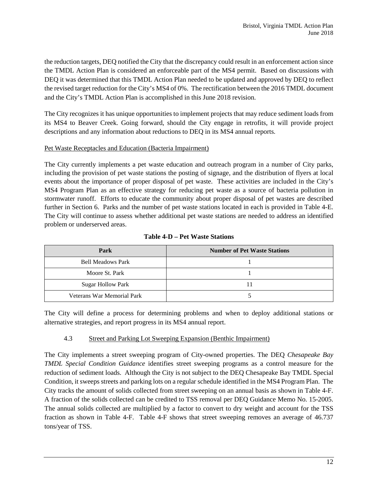the reduction targets, DEQ notified the City that the discrepancy could result in an enforcement action since the TMDL Action Plan is considered an enforceable part of the MS4 permit. Based on discussions with DEQ it was determined that this TMDL Action Plan needed to be updated and approved by DEQ to reflect the revised target reduction for the City's MS4 of 0%. The rectification between the 2016 TMDL document and the City's TMDL Action Plan is accomplished in this June 2018 revision.

The City recognizes it has unique opportunities to implement projects that may reduce sediment loads from its MS4 to Beaver Creek. Going forward, should the City engage in retrofits, it will provide project descriptions and any information about reductions to DEQ in its MS4 annual reports.

#### Pet Waste Receptacles and Education (Bacteria Impairment)

The City currently implements a pet waste education and outreach program in a number of City parks, including the provision of pet waste stations the posting of signage, and the distribution of flyers at local events about the importance of proper disposal of pet waste. These activities are included in the City's MS4 Program Plan as an effective strategy for reducing pet waste as a source of bacteria pollution in stormwater runoff. Efforts to educate the community about proper disposal of pet wastes are described further in Section 6. Parks and the number of pet waste stations located in each is provided in Table 4-E. The City will continue to assess whether additional pet waste stations are needed to address an identified problem or underserved areas.

<span id="page-15-1"></span>

| Park                       | <b>Number of Pet Waste Stations</b> |
|----------------------------|-------------------------------------|
| <b>Bell Meadows Park</b>   |                                     |
| Moore St. Park             |                                     |
| <b>Sugar Hollow Park</b>   |                                     |
| Veterans War Memorial Park |                                     |

#### **Table 4-D – Pet Waste Stations**

The City will define a process for determining problems and when to deploy additional stations or alternative strategies, and report progress in its MS4 annual report.

#### <span id="page-15-0"></span>4.3 Street and Parking Lot Sweeping Expansion (Benthic Impairment)

The City implements a street sweeping program of City-owned properties. The DEQ *Chesapeake Bay TMDL Special Condition Guidance* identifies street sweeping programs as a control measure for the reduction of sediment loads. Although the City is not subject to the DEQ Chesapeake Bay TMDL Special Condition, it sweeps streets and parking lots on a regular schedule identified in the MS4 Program Plan. The City tracks the amount of solids collected from street sweeping on an annual basis as shown in Table 4-F. A fraction of the solids collected can be credited to TSS removal per DEQ Guidance Memo No. 15-2005. The annual solids collected are multiplied by a factor to convert to dry weight and account for the TSS fraction as shown in Table 4-F. Table 4-F shows that street sweeping removes an average of 46.737 tons/year of TSS.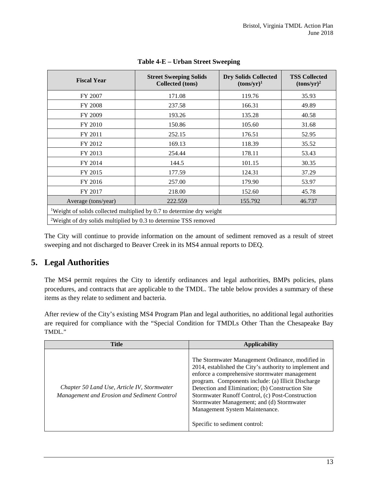<span id="page-16-1"></span>

| <b>Fiscal Year</b>                                                                | <b>Street Sweeping Solids</b><br><b>Collected</b> (tons) | <b>Dry Solids Collected</b><br>$(tons/yr)^1$ | <b>TSS Collected</b><br>$(tons/yr)^2$ |
|-----------------------------------------------------------------------------------|----------------------------------------------------------|----------------------------------------------|---------------------------------------|
| FY 2007                                                                           | 171.08                                                   | 119.76                                       | 35.93                                 |
| <b>FY 2008</b>                                                                    | 237.58                                                   | 166.31                                       | 49.89                                 |
| FY 2009                                                                           | 193.26                                                   | 135.28                                       | 40.58                                 |
| FY 2010                                                                           | 150.86                                                   | 105.60                                       | 31.68                                 |
| FY 2011                                                                           | 252.15                                                   | 176.51                                       | 52.95                                 |
| FY 2012                                                                           | 169.13                                                   | 118.39                                       | 35.52                                 |
| FY 2013                                                                           | 254.44                                                   | 178.11                                       | 53.43                                 |
| FY 2014                                                                           | 144.5                                                    | 101.15                                       | 30.35                                 |
| FY 2015                                                                           | 177.59                                                   | 124.31                                       | 37.29                                 |
| FY 2016                                                                           | 257.00                                                   | 179.90                                       | 53.97                                 |
| FY 2017                                                                           | 218.00                                                   | 152.60                                       | 45.78                                 |
| Average (tons/year)                                                               | 222.559                                                  | 155.792                                      | 46.737                                |
| <sup>1</sup> Weight of solids collected multiplied by 0.7 to determine dry weight |                                                          |                                              |                                       |
| <sup>2</sup> Weight of dry solids multiplied by 0.3 to determine TSS removed      |                                                          |                                              |                                       |

#### **Table 4-E – Urban Street Sweeping**

The City will continue to provide information on the amount of sediment removed as a result of street sweeping and not discharged to Beaver Creek in its MS4 annual reports to DEQ.

#### <span id="page-16-0"></span>**5. Legal Authorities**

The MS4 permit requires the City to identify ordinances and legal authorities, BMPs policies, plans procedures, and contracts that are applicable to the TMDL. The table below provides a summary of these items as they relate to sediment and bacteria.

After review of the City's existing MS4 Program Plan and legal authorities, no additional legal authorities are required for compliance with the "Special Condition for TMDLs Other Than the Chesapeake Bay TMDL."

| <b>Title</b>                                                                               | <b>Applicability</b>                                                                                                                                                                                                                                                                                                                                                                                                                       |
|--------------------------------------------------------------------------------------------|--------------------------------------------------------------------------------------------------------------------------------------------------------------------------------------------------------------------------------------------------------------------------------------------------------------------------------------------------------------------------------------------------------------------------------------------|
| Chapter 50 Land Use, Article IV, Stormwater<br>Management and Erosion and Sediment Control | The Stormwater Management Ordinance, modified in<br>2014, established the City's authority to implement and<br>enforce a comprehensive stormwater management<br>program. Components include: (a) Illicit Discharge<br>Detection and Elimination; (b) Construction Site<br>Stormwater Runoff Control, (c) Post-Construction<br>Stormwater Management; and (d) Stormwater<br>Management System Maintenance.<br>Specific to sediment control: |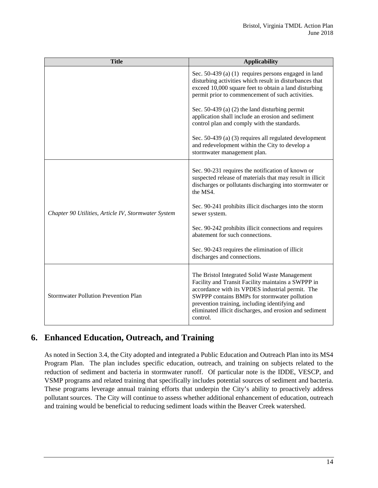| <b>Title</b>                                        | <b>Applicability</b>                                                                                                                                                                                                                                                                                                             |  |  |
|-----------------------------------------------------|----------------------------------------------------------------------------------------------------------------------------------------------------------------------------------------------------------------------------------------------------------------------------------------------------------------------------------|--|--|
|                                                     | Sec. $50-439$ (a) (1) requires persons engaged in land<br>disturbing activities which result in disturbances that<br>exceed 10,000 square feet to obtain a land disturbing<br>permit prior to commencement of such activities.                                                                                                   |  |  |
|                                                     | Sec. $50-439$ (a) (2) the land disturbing permit<br>application shall include an erosion and sediment<br>control plan and comply with the standards.                                                                                                                                                                             |  |  |
|                                                     | Sec. 50-439 (a) (3) requires all regulated development<br>and redevelopment within the City to develop a<br>stormwater management plan.                                                                                                                                                                                          |  |  |
|                                                     | Sec. 90-231 requires the notification of known or<br>suspected release of materials that may result in illicit<br>discharges or pollutants discharging into stormwater or<br>the MS4.                                                                                                                                            |  |  |
| Chapter 90 Utilities, Article IV, Stormwater System | Sec. 90-241 prohibits illicit discharges into the storm<br>sewer system.                                                                                                                                                                                                                                                         |  |  |
|                                                     | Sec. 90-242 prohibits illicit connections and requires<br>abatement for such connections.                                                                                                                                                                                                                                        |  |  |
|                                                     | Sec. 90-243 requires the elimination of illicit<br>discharges and connections.                                                                                                                                                                                                                                                   |  |  |
| <b>Stormwater Pollution Prevention Plan</b>         | The Bristol Integrated Solid Waste Management<br>Facility and Transit Facility maintains a SWPPP in<br>accordance with its VPDES industrial permit. The<br>SWPPP contains BMPs for stormwater pollution<br>prevention training, including identifying and<br>eliminated illicit discharges, and erosion and sediment<br>control. |  |  |

### <span id="page-17-0"></span>**6. Enhanced Education, Outreach, and Training**

As noted in Section 3.4, the City adopted and integrated a Public Education and Outreach Plan into its MS4 Program Plan. The plan includes specific education, outreach, and training on subjects related to the reduction of sediment and bacteria in stormwater runoff. Of particular note is the IDDE, VESCP, and VSMP programs and related training that specifically includes potential sources of sediment and bacteria. These programs leverage annual training efforts that underpin the City's ability to proactively address pollutant sources. The City will continue to assess whether additional enhancement of education, outreach and training would be beneficial to reducing sediment loads within the Beaver Creek watershed.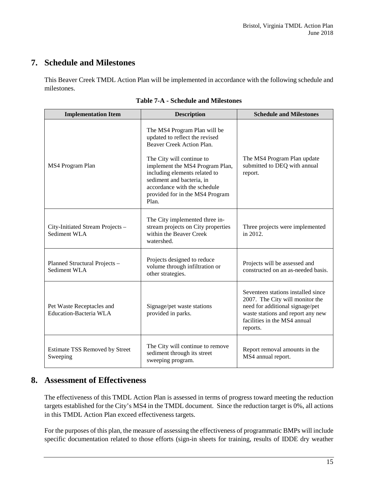#### <span id="page-18-0"></span>**7. Schedule and Milestones**

This Beaver Creek TMDL Action Plan will be implemented in accordance with the following schedule and milestones.

<span id="page-18-2"></span>

| <b>Implementation Item</b>                                 | <b>Description</b>                                                                                                                                                                                                                                                                                    | <b>Schedule and Milestones</b>                                                                                                                                                            |
|------------------------------------------------------------|-------------------------------------------------------------------------------------------------------------------------------------------------------------------------------------------------------------------------------------------------------------------------------------------------------|-------------------------------------------------------------------------------------------------------------------------------------------------------------------------------------------|
| MS4 Program Plan                                           | The MS4 Program Plan will be<br>updated to reflect the revised<br>Beaver Creek Action Plan.<br>The City will continue to<br>implement the MS4 Program Plan,<br>including elements related to<br>sediment and bacteria, in<br>accordance with the schedule<br>provided for in the MS4 Program<br>Plan. | The MS4 Program Plan update<br>submitted to DEQ with annual<br>report.                                                                                                                    |
| City-Initiated Stream Projects -<br>Sediment WLA           | The City implemented three in-<br>stream projects on City properties<br>within the Beaver Creek<br>watershed.                                                                                                                                                                                         | Three projects were implemented<br>in 2012.                                                                                                                                               |
| Planned Structural Projects -<br>Sediment WLA              | Projects designed to reduce<br>volume through infiltration or<br>other strategies.                                                                                                                                                                                                                    | Projects will be assessed and<br>constructed on an as-needed basis.                                                                                                                       |
| Pet Waste Receptacles and<br><b>Education-Bacteria WLA</b> | Signage/pet waste stations<br>provided in parks.                                                                                                                                                                                                                                                      | Seventeen stations installed since<br>2007. The City will monitor the<br>need for additional signage/pet<br>waste stations and report any new<br>facilities in the MS4 annual<br>reports. |
| <b>Estimate TSS Removed by Street</b><br>Sweeping          | The City will continue to remove<br>sediment through its street<br>sweeping program.                                                                                                                                                                                                                  | Report removal amounts in the<br>MS4 annual report.                                                                                                                                       |

| <b>Table 7-A - Schedule and Milestones</b> |
|--------------------------------------------|
|--------------------------------------------|

#### <span id="page-18-1"></span>**8. Assessment of Effectiveness**

The effectiveness of this TMDL Action Plan is assessed in terms of progress toward meeting the reduction targets established for the City's MS4 in the TMDL document. Since the reduction target is 0%, all actions in this TMDL Action Plan exceed effectiveness targets.

For the purposes of this plan, the measure of assessing the effectiveness of programmatic BMPs will include specific documentation related to those efforts (sign-in sheets for training, results of IDDE dry weather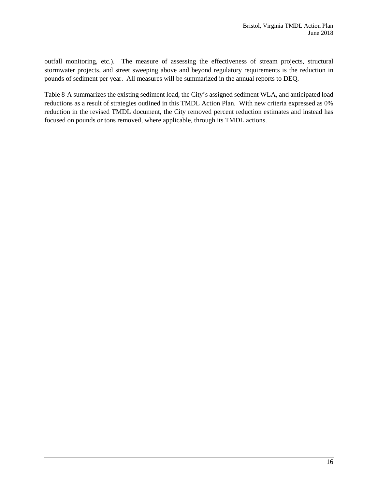outfall monitoring, etc.). The measure of assessing the effectiveness of stream projects, structural stormwater projects, and street sweeping above and beyond regulatory requirements is the reduction in pounds of sediment per year. All measures will be summarized in the annual reports to DEQ.

Table 8-A summarizes the existing sediment load, the City's assigned sediment WLA, and anticipated load reductions as a result of strategies outlined in this TMDL Action Plan. With new criteria expressed as 0% reduction in the revised TMDL document, the City removed percent reduction estimates and instead has focused on pounds or tons removed, where applicable, through its TMDL actions.